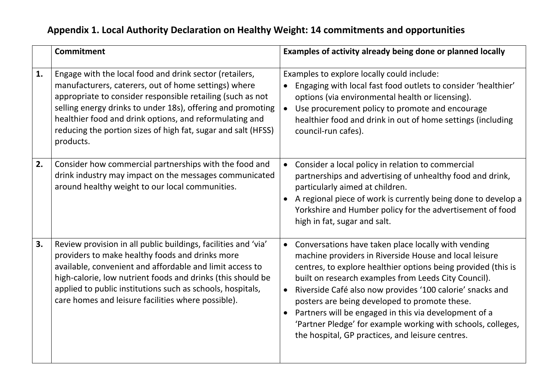## **Appendix 1. Local Authority Declaration on Healthy Weight: 14 commitments and opportunities**

| Commitment                                                                                                                                                                                                                                                                                                                                                                                  | Examples of activity already being done or planned locally                                                                                                                                                                                                                                                                                                                                                                                                                                                                                                  |
|---------------------------------------------------------------------------------------------------------------------------------------------------------------------------------------------------------------------------------------------------------------------------------------------------------------------------------------------------------------------------------------------|-------------------------------------------------------------------------------------------------------------------------------------------------------------------------------------------------------------------------------------------------------------------------------------------------------------------------------------------------------------------------------------------------------------------------------------------------------------------------------------------------------------------------------------------------------------|
| Engage with the local food and drink sector (retailers,<br>1.<br>manufacturers, caterers, out of home settings) where<br>appropriate to consider responsible retailing (such as not<br>selling energy drinks to under 18s), offering and promoting<br>healthier food and drink options, and reformulating and<br>reducing the portion sizes of high fat, sugar and salt (HFSS)<br>products. | Examples to explore locally could include:<br>Engaging with local fast food outlets to consider 'healthier'<br>options (via environmental health or licensing).<br>Use procurement policy to promote and encourage<br>$\bullet$<br>healthier food and drink in out of home settings (including<br>council-run cafes).                                                                                                                                                                                                                                       |
| 2.<br>Consider how commercial partnerships with the food and<br>drink industry may impact on the messages communicated<br>around healthy weight to our local communities.                                                                                                                                                                                                                   | Consider a local policy in relation to commercial<br>$\bullet$<br>partnerships and advertising of unhealthy food and drink,<br>particularly aimed at children.<br>A regional piece of work is currently being done to develop a<br>Yorkshire and Humber policy for the advertisement of food<br>high in fat, sugar and salt.                                                                                                                                                                                                                                |
| 3.<br>Review provision in all public buildings, facilities and 'via'<br>providers to make healthy foods and drinks more<br>available, convenient and affordable and limit access to<br>high-calorie, low nutrient foods and drinks (this should be<br>applied to public institutions such as schools, hospitals,<br>care homes and leisure facilities where possible).                      | Conversations have taken place locally with vending<br>$\bullet$<br>machine providers in Riverside House and local leisure<br>centres, to explore healthier options being provided (this is<br>built on research examples from Leeds City Council).<br>Riverside Café also now provides '100 calorie' snacks and<br>posters are being developed to promote these.<br>Partners will be engaged in this via development of a<br>$\bullet$<br>'Partner Pledge' for example working with schools, colleges,<br>the hospital, GP practices, and leisure centres. |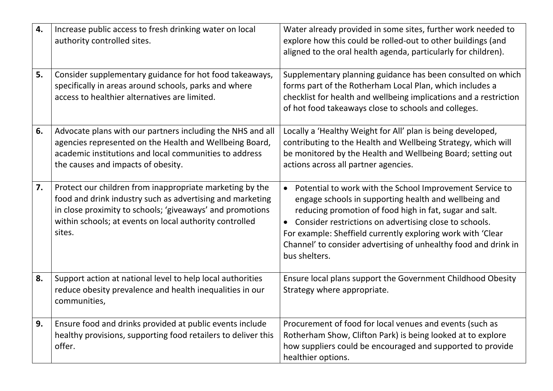| 4. | Increase public access to fresh drinking water on local<br>authority controlled sites.                                                                                                                                                                  | Water already provided in some sites, further work needed to<br>explore how this could be rolled-out to other buildings (and<br>aligned to the oral health agenda, particularly for children).                                                                                                                                                                                                                      |
|----|---------------------------------------------------------------------------------------------------------------------------------------------------------------------------------------------------------------------------------------------------------|---------------------------------------------------------------------------------------------------------------------------------------------------------------------------------------------------------------------------------------------------------------------------------------------------------------------------------------------------------------------------------------------------------------------|
| 5. | Consider supplementary guidance for hot food takeaways,<br>specifically in areas around schools, parks and where<br>access to healthier alternatives are limited.                                                                                       | Supplementary planning guidance has been consulted on which<br>forms part of the Rotherham Local Plan, which includes a<br>checklist for health and wellbeing implications and a restriction<br>of hot food takeaways close to schools and colleges.                                                                                                                                                                |
| 6. | Advocate plans with our partners including the NHS and all<br>agencies represented on the Health and Wellbeing Board,<br>academic institutions and local communities to address<br>the causes and impacts of obesity.                                   | Locally a 'Healthy Weight for All' plan is being developed,<br>contributing to the Health and Wellbeing Strategy, which will<br>be monitored by the Health and Wellbeing Board; setting out<br>actions across all partner agencies.                                                                                                                                                                                 |
| 7. | Protect our children from inappropriate marketing by the<br>food and drink industry such as advertising and marketing<br>in close proximity to schools; 'giveaways' and promotions<br>within schools; at events on local authority controlled<br>sites. | Potential to work with the School Improvement Service to<br>$\bullet$<br>engage schools in supporting health and wellbeing and<br>reducing promotion of food high in fat, sugar and salt.<br>Consider restrictions on advertising close to schools.<br>$\bullet$<br>For example: Sheffield currently exploring work with 'Clear<br>Channel' to consider advertising of unhealthy food and drink in<br>bus shelters. |
| 8. | Support action at national level to help local authorities<br>reduce obesity prevalence and health inequalities in our<br>communities,                                                                                                                  | Ensure local plans support the Government Childhood Obesity<br>Strategy where appropriate.                                                                                                                                                                                                                                                                                                                          |
| 9. | Ensure food and drinks provided at public events include<br>healthy provisions, supporting food retailers to deliver this<br>offer.                                                                                                                     | Procurement of food for local venues and events (such as<br>Rotherham Show, Clifton Park) is being looked at to explore<br>how suppliers could be encouraged and supported to provide<br>healthier options.                                                                                                                                                                                                         |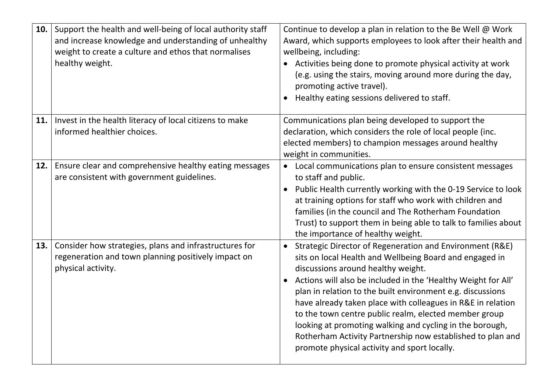| 10. | Support the health and well-being of local authority staff<br>and increase knowledge and understanding of unhealthy<br>weight to create a culture and ethos that normalises<br>healthy weight. | Continue to develop a plan in relation to the Be Well @ Work<br>Award, which supports employees to look after their health and<br>wellbeing, including:<br>Activities being done to promote physical activity at work<br>(e.g. using the stairs, moving around more during the day,<br>promoting active travel).<br>Healthy eating sessions delivered to staff.<br>$\bullet$                                                                                                                                                                                                                                         |
|-----|------------------------------------------------------------------------------------------------------------------------------------------------------------------------------------------------|----------------------------------------------------------------------------------------------------------------------------------------------------------------------------------------------------------------------------------------------------------------------------------------------------------------------------------------------------------------------------------------------------------------------------------------------------------------------------------------------------------------------------------------------------------------------------------------------------------------------|
| 11. | Invest in the health literacy of local citizens to make<br>informed healthier choices.                                                                                                         | Communications plan being developed to support the<br>declaration, which considers the role of local people (inc.<br>elected members) to champion messages around healthy<br>weight in communities.                                                                                                                                                                                                                                                                                                                                                                                                                  |
| 12. | Ensure clear and comprehensive healthy eating messages<br>are consistent with government guidelines.                                                                                           | Local communications plan to ensure consistent messages<br>$\bullet$<br>to staff and public.<br>Public Health currently working with the 0-19 Service to look<br>$\bullet$<br>at training options for staff who work with children and<br>families (in the council and The Rotherham Foundation<br>Trust) to support them in being able to talk to families about<br>the importance of healthy weight.                                                                                                                                                                                                               |
| 13. | Consider how strategies, plans and infrastructures for<br>regeneration and town planning positively impact on<br>physical activity.                                                            | Strategic Director of Regeneration and Environment (R&E)<br>$\bullet$<br>sits on local Health and Wellbeing Board and engaged in<br>discussions around healthy weight.<br>Actions will also be included in the 'Healthy Weight for All'<br>$\bullet$<br>plan in relation to the built environment e.g. discussions<br>have already taken place with colleagues in R&E in relation<br>to the town centre public realm, elected member group<br>looking at promoting walking and cycling in the borough,<br>Rotherham Activity Partnership now established to plan and<br>promote physical activity and sport locally. |